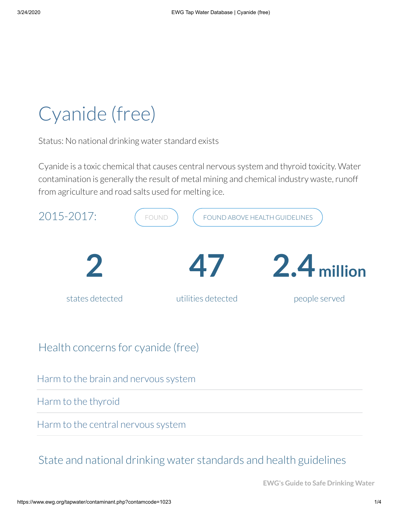# Cyanide (free)

Status: No national drinking water standard exists

Cyanide is a toxic chemical that causes central nervous system and thyroid toxicity. Water contamination is generally the result of metal mining and chemical industry waste, runoff from agriculture and road salts used for melting ice.



Harm to the brain and nervous system

Harm to the thyroid

Harm to the central nervous system

# State and national drinking water standards and health guidelines

**EWG's Guide to Safe Drinking Water**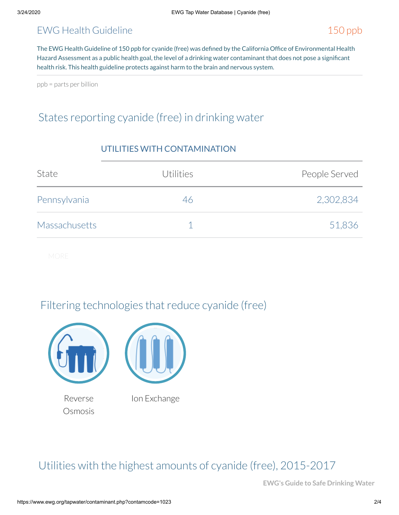#### EWG Health Guideline 150 ppb

The EWG Health Guideline of 150 ppb for cyanide (free) was defined by the California Office of Environmental Health Hazard Assessment as a public health goal, the level of a drinking water contaminant that does not pose a significant health risk. This health guideline protects against harm to the brain and nervous system.

ppb = parts per billion

# States reporting cyanide (free) in drinking water

| State                | Utilities | People Served |  |  |
|----------------------|-----------|---------------|--|--|
| Pennsylvania         | 46        | 2,302,834     |  |  |
| <b>Massachusetts</b> |           | 51,836        |  |  |

#### UTILITIES WITH CONTAMINATION

## Filtering technologies that reduce cyanide (free)



Reverse **Osmosis**  Ion Exchange

## Utilities with the highest amounts of cyanide (free), 2015-2017

**EWG's Guide to Safe Drinking Water**